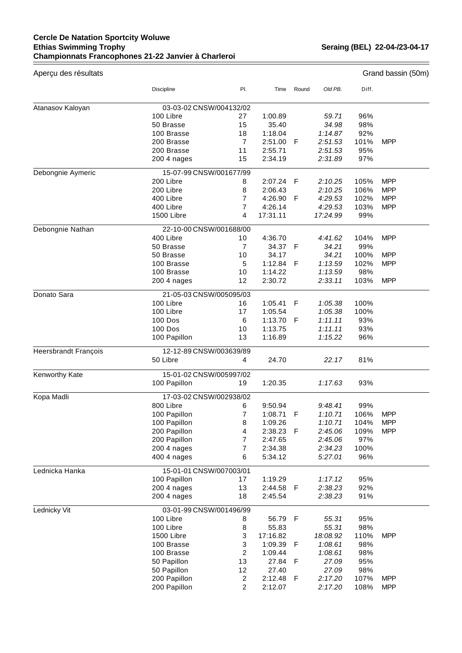## **Cercle De Natation Sportcity Woluwe Ethias Swimming Trophy Championnats Francophones 21-22 Janvier à Charleroi**

**Seraing (BEL) 22-04-/23-04-17** 

 $\equiv$ 

| Aperçu des résultats        |                         |                |           |       |          |       | Grand bassin (50m) |  |  |
|-----------------------------|-------------------------|----------------|-----------|-------|----------|-------|--------------------|--|--|
|                             | Discipline              | PI.            | Time      | Round | Old PB.  | Diff. |                    |  |  |
| Atanasov Kaloyan            | 03-03-02 CNSW/004132/02 |                |           |       |          |       |                    |  |  |
|                             | 100 Libre               | 27             | 1:00.89   |       | 59.71    | 96%   |                    |  |  |
|                             | 50 Brasse               | 15             | 35.40     |       | 34.98    | 98%   |                    |  |  |
|                             | 100 Brasse              | 18             | 1:18.04   |       | 1:14.87  | 92%   |                    |  |  |
|                             | 200 Brasse              | $\overline{7}$ | 2:51.00   | F     | 2:51.53  | 101%  | <b>MPP</b>         |  |  |
|                             | 200 Brasse              | 11             | 2:55.71   |       | 2:51.53  | 95%   |                    |  |  |
|                             | 200 4 nages             | 15             | 2:34.19   |       | 2:31.89  | 97%   |                    |  |  |
| Debongnie Aymeric           | 15-07-99 CNSW/001677/99 |                |           |       |          |       |                    |  |  |
|                             | 200 Libre               | 8              | 2:07.24   | F     | 2:10.25  | 105%  | <b>MPP</b>         |  |  |
|                             | 200 Libre               | 8              | 2:06.43   |       | 2:10.25  | 106%  | <b>MPP</b>         |  |  |
|                             | 400 Libre               | $\overline{7}$ | 4:26.90   | F     | 4:29.53  | 102%  | <b>MPP</b>         |  |  |
|                             | 400 Libre               | $\overline{7}$ | 4:26.14   |       | 4:29.53  | 103%  | <b>MPP</b>         |  |  |
|                             | 1500 Libre              | 4              | 17:31.11  |       | 17:24.99 | 99%   |                    |  |  |
| Debongnie Nathan            | 22-10-00 CNSW/001688/00 |                |           |       |          |       |                    |  |  |
|                             | 400 Libre               | 10             | 4:36.70   |       | 4:41.62  | 104%  | <b>MPP</b>         |  |  |
|                             | 50 Brasse               | $\overline{7}$ | 34.37     | F     | 34.21    | 99%   |                    |  |  |
|                             | 50 Brasse               | 10             | 34.17     |       | 34.21    | 100%  | <b>MPP</b>         |  |  |
|                             | 100 Brasse              | 5              | 1:12.84   | F     | 1:13.59  | 102%  | <b>MPP</b>         |  |  |
|                             | 100 Brasse              | 10             | 1:14.22   |       | 1:13.59  | 98%   |                    |  |  |
|                             | 200 4 nages             | 12             | 2:30.72   |       | 2:33.11  | 103%  | <b>MPP</b>         |  |  |
| Donato Sara                 | 21-05-03 CNSW/005095/03 |                |           |       |          |       |                    |  |  |
|                             | 100 Libre               | 16             | 1:05.41   | F     | 1:05.38  | 100%  |                    |  |  |
|                             | 100 Libre               | 17             | 1:05.54   |       | 1:05.38  | 100%  |                    |  |  |
|                             | 100 Dos                 | 6              | 1:13.70   | F     | 1:11.11  | 93%   |                    |  |  |
|                             | 100 Dos                 | 10             | 1:13.75   |       | 1:11.11  | 93%   |                    |  |  |
|                             | 100 Papillon            | 13             | 1:16.89   |       | 1:15.22  | 96%   |                    |  |  |
| <b>Heersbrandt François</b> | 12-12-89 CNSW/003639/89 |                |           |       |          |       |                    |  |  |
|                             | 50 Libre                | 4              | 24.70     |       | 22.17    | 81%   |                    |  |  |
| Kenworthy Kate              | 15-01-02 CNSW/005997/02 |                |           |       |          |       |                    |  |  |
|                             | 100 Papillon            | 19             | 1:20.35   |       | 1:17.63  | 93%   |                    |  |  |
| Kopa Madli                  | 17-03-02 CNSW/002938/02 |                |           |       |          |       |                    |  |  |
|                             | 800 Libre               | 6              | 9:50.94   |       | 9:48.41  | 99%   |                    |  |  |
|                             | 100 Papillon            | 7              | 1:08.71 F |       | 1:10.71  | 106%  | <b>MPP</b>         |  |  |
|                             | 100 Papillon            | 8              | 1:09.26   |       | 1:10.71  | 104%  | <b>MPP</b>         |  |  |
|                             | 200 Papillon            | 4              | 2:38.23   | -F    | 2:45.06  | 109%  | <b>MPP</b>         |  |  |
|                             | 200 Papillon            | 7              | 2:47.65   |       | 2:45.06  | 97%   |                    |  |  |
|                             | 200 4 nages             | 7              | 2:34.38   |       | 2:34.23  | 100%  |                    |  |  |
|                             | 400 4 nages             | 6              | 5:34.12   |       | 5:27.01  | 96%   |                    |  |  |
| Lednicka Hanka              | 15-01-01 CNSW/007003/01 |                |           |       |          |       |                    |  |  |
|                             | 100 Papillon            | 17             | 1:19.29   |       | 1:17.12  | 95%   |                    |  |  |
|                             | 200 4 nages             | 13             | 2:44.58   | - F   | 2:38.23  | 92%   |                    |  |  |
|                             | 200 4 nages             | 18             | 2:45.54   |       | 2:38.23  | 91%   |                    |  |  |
| Lednicky Vit                | 03-01-99 CNSW/001496/99 |                |           |       |          |       |                    |  |  |
|                             | 100 Libre               | 8              | 56.79     | F     | 55.31    | 95%   |                    |  |  |
|                             | 100 Libre               | 8              | 55.83     |       | 55.31    | 98%   |                    |  |  |
|                             | 1500 Libre              | 3              | 17:16.82  |       | 18:08.92 | 110%  | <b>MPP</b>         |  |  |
|                             | 100 Brasse              | 3              | 1:09.39   | F     | 1:08.61  | 98%   |                    |  |  |
|                             | 100 Brasse              | 2              | 1:09.44   |       | 1:08.61  | 98%   |                    |  |  |
|                             | 50 Papillon             | 13             | 27.84     | F     | 27.09    | 95%   |                    |  |  |
|                             | 50 Papillon             | 12             | 27.40     |       | 27.09    | 98%   |                    |  |  |
|                             | 200 Papillon            | 2              | 2:12.48   | F     | 2:17.20  | 107%  | <b>MPP</b>         |  |  |
|                             | 200 Papillon            | 2              | 2:12.07   |       | 2:17.20  | 108%  | <b>MPP</b>         |  |  |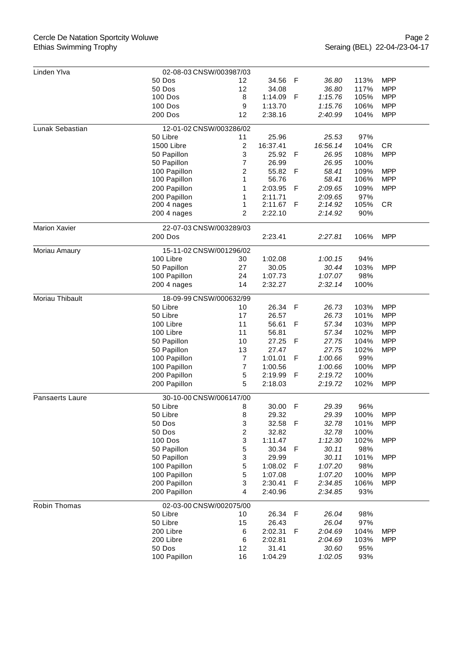## Cercle De Natation Sportcity Woluwe Ethias Swimming Trophy

| Linden Ylva          | 02-08-03 CNSW/003987/03 |                         |          |             |          |      |            |  |
|----------------------|-------------------------|-------------------------|----------|-------------|----------|------|------------|--|
|                      | 50 Dos                  | 12                      | 34.56    | F           | 36.80    | 113% | <b>MPP</b> |  |
|                      | 50 Dos                  | 12                      | 34.08    |             | 36.80    | 117% | <b>MPP</b> |  |
|                      | 100 Dos                 | 8                       | 1:14.09  | F           | 1:15.76  | 105% | <b>MPP</b> |  |
|                      |                         |                         |          |             |          |      |            |  |
|                      | <b>100 Dos</b>          | 9                       | 1:13.70  |             | 1:15.76  | 106% | <b>MPP</b> |  |
|                      | 200 Dos                 | 12                      | 2:38.16  |             | 2:40.99  | 104% | <b>MPP</b> |  |
| Lunak Sebastian      | 12-01-02 CNSW/003286/02 |                         |          |             |          |      |            |  |
|                      | 50 Libre                | 11                      | 25.96    |             | 25.53    | 97%  |            |  |
|                      | 1500 Libre              | $\overline{c}$          | 16:37.41 |             | 16:56.14 | 104% | <b>CR</b>  |  |
|                      | 50 Papillon             | 3                       | 25.92    | F           | 26.95    | 108% | <b>MPP</b> |  |
|                      | 50 Papillon             | 7                       | 26.99    |             | 26.95    | 100% |            |  |
|                      | 100 Papillon            | 2                       | 55.82    | F           | 58.41    | 109% | <b>MPP</b> |  |
|                      | 100 Papillon            | 1                       | 56.76    |             | 58.41    | 106% | <b>MPP</b> |  |
|                      | 200 Papillon            | 1                       | 2:03.95  | $\mathsf F$ | 2:09.65  | 109% | <b>MPP</b> |  |
|                      | 200 Papillon            | 1                       | 2:11.71  |             | 2:09.65  | 97%  |            |  |
|                      | 200 4 nages             | 1                       | 2:11.67  | F           | 2:14.92  | 105% | <b>CR</b>  |  |
|                      | 200 4 nages             | 2                       | 2:22.10  |             | 2:14.92  | 90%  |            |  |
|                      |                         |                         |          |             |          |      |            |  |
| <b>Marion Xavier</b> | 22-07-03 CNSW/003289/03 |                         |          |             |          |      |            |  |
|                      | <b>200 Dos</b>          |                         | 2:23.41  |             | 2:27.81  | 106% | <b>MPP</b> |  |
| Moriau Amaury        | 15-11-02 CNSW/001296/02 |                         |          |             |          |      |            |  |
|                      | 100 Libre               | 30                      | 1:02.08  |             | 1:00.15  | 94%  |            |  |
|                      | 50 Papillon             | 27                      | 30.05    |             | 30.44    | 103% | <b>MPP</b> |  |
|                      | 100 Papillon            | 24                      | 1:07.73  |             | 1:07.07  | 98%  |            |  |
|                      | 200 4 nages             | 14                      | 2:32.27  |             | 2:32.14  | 100% |            |  |
|                      |                         |                         |          |             |          |      |            |  |
| Moriau Thibault      | 18-09-99 CNSW/000632/99 |                         |          |             |          |      |            |  |
|                      | 50 Libre                | 10                      | 26.34    | F           | 26.73    | 103% | <b>MPP</b> |  |
|                      | 50 Libre                | 17                      | 26.57    |             | 26.73    | 101% | <b>MPP</b> |  |
|                      | 100 Libre               | 11                      | 56.61    | F           | 57.34    | 103% | <b>MPP</b> |  |
|                      | 100 Libre               | 11                      | 56.81    |             | 57.34    | 102% | <b>MPP</b> |  |
|                      | 50 Papillon             | 10                      | 27.25    | F           | 27.75    | 104% | <b>MPP</b> |  |
|                      | 50 Papillon             | 13                      | 27.47    |             | 27.75    | 102% | <b>MPP</b> |  |
|                      | 100 Papillon            | $\overline{7}$          | 1:01.01  | F           | 1:00.66  | 99%  |            |  |
|                      | 100 Papillon            | $\overline{7}$          | 1:00.56  |             | 1:00.66  | 100% | <b>MPP</b> |  |
|                      | 200 Papillon            | 5                       | 2:19.99  | F           | 2:19.72  | 100% |            |  |
|                      | 200 Papillon            | 5                       | 2:18.03  |             | 2:19.72  | 102% | <b>MPP</b> |  |
| Pansaerts Laure      | 30-10-00 CNSW/006147/00 |                         |          |             |          |      |            |  |
|                      | 50 Libre                | 8                       | 30.00    | F           | 29.39    | 96%  |            |  |
|                      | 50 Libre                | 8                       | 29.32    |             | 29.39    | 100% | <b>MPP</b> |  |
|                      | 50 Dos                  | 3                       | 32.58    | F           | 32.78    | 101% | <b>MPP</b> |  |
|                      | 50 Dos                  | $\overline{\mathbf{c}}$ | 32.82    |             | 32.78    | 100% |            |  |
|                      | <b>100 Dos</b>          | 3                       | 1:11.47  |             | 1:12.30  | 102% | <b>MPP</b> |  |
|                      | 50 Papillon             | 5                       | 30.34    | F           | 30.11    | 98%  |            |  |
|                      | 50 Papillon             | 3                       | 29.99    |             | 30.11    | 101% | <b>MPP</b> |  |
|                      | 100 Papillon            | 5                       | 1:08.02  | F           | 1:07.20  | 98%  |            |  |
|                      | 100 Papillon            | 5                       |          |             | 1:07.20  | 100% | <b>MPP</b> |  |
|                      |                         |                         | 1:07.08  |             |          |      |            |  |
|                      | 200 Papillon            | 3                       | 2:30.41  | F           | 2:34.85  | 106% | <b>MPP</b> |  |
|                      | 200 Papillon            | $\overline{4}$          | 2:40.96  |             | 2:34.85  | 93%  |            |  |
| Robin Thomas         | 02-03-00 CNSW/002075/00 |                         |          |             |          |      |            |  |
|                      | 50 Libre                | 10                      | 26.34    | $\mathsf F$ | 26.04    | 98%  |            |  |
|                      | 50 Libre                | 15                      | 26.43    |             | 26.04    | 97%  |            |  |
|                      | 200 Libre               | 6                       | 2:02.31  | F           | 2:04.69  | 104% | <b>MPP</b> |  |
|                      | 200 Libre               | 6                       | 2:02.81  |             | 2:04.69  | 103% | <b>MPP</b> |  |
|                      | 50 Dos                  | 12                      | 31.41    |             | 30.60    | 95%  |            |  |
|                      | 100 Papillon            | 16                      | 1:04.29  |             | 1:02.05  | 93%  |            |  |